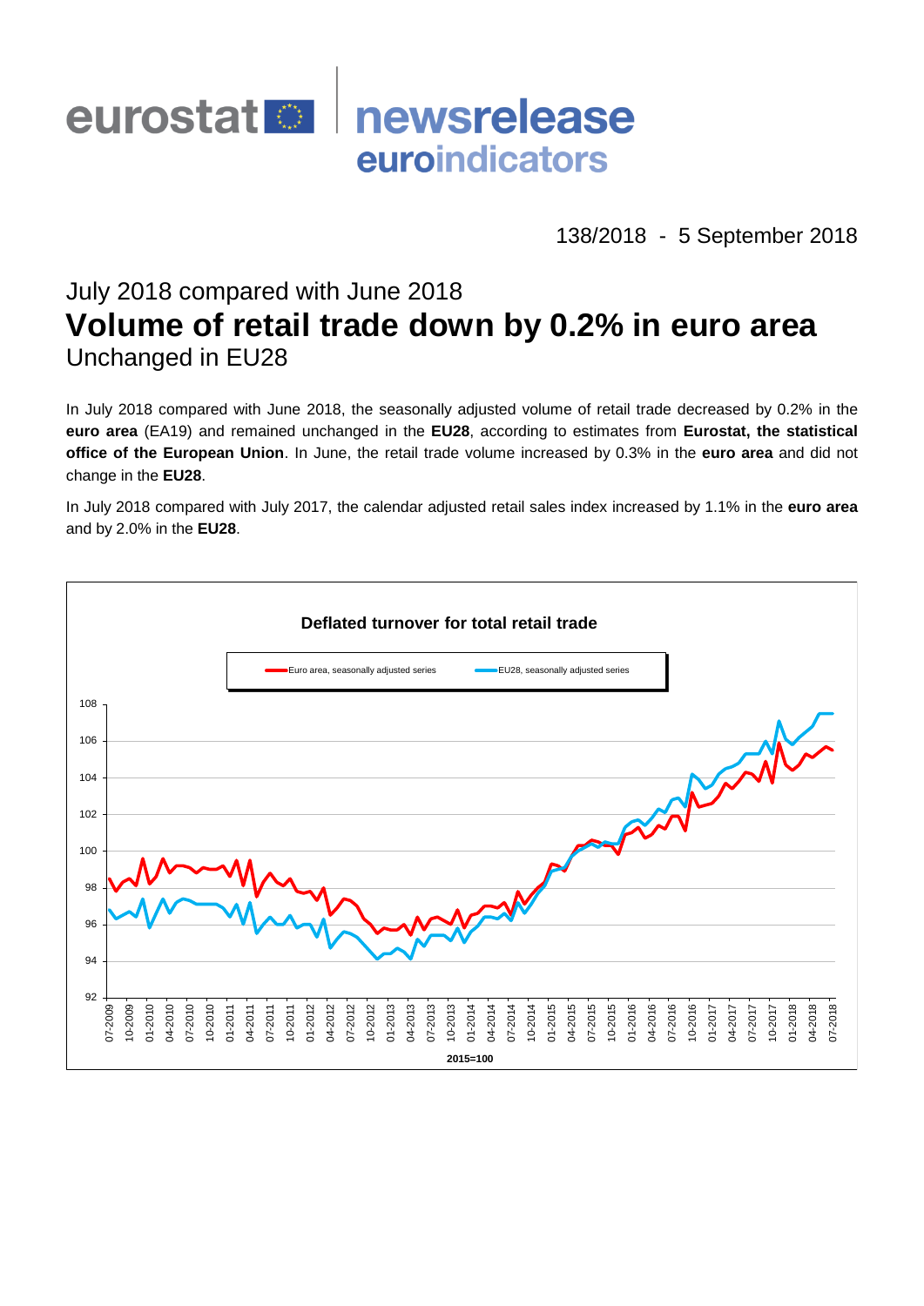

138/2018 - 5 September 2018

# July 2018 compared with June 2018 **Volume of retail trade down by 0.2% in euro area** Unchanged in EU28

In July 2018 compared with June 2018, the seasonally adjusted volume of retail trade decreased by 0.2% in the **euro area** (EA19) and remained unchanged in the **EU28**, according to estimates from **Eurostat, the statistical office of the European Union**. In June, the retail trade volume increased by 0.3% in the **euro area** and did not change in the **EU28**.

In July 2018 compared with July 2017, the calendar adjusted retail sales index increased by 1.1% in the **euro area** and by 2.0% in the **EU28**.

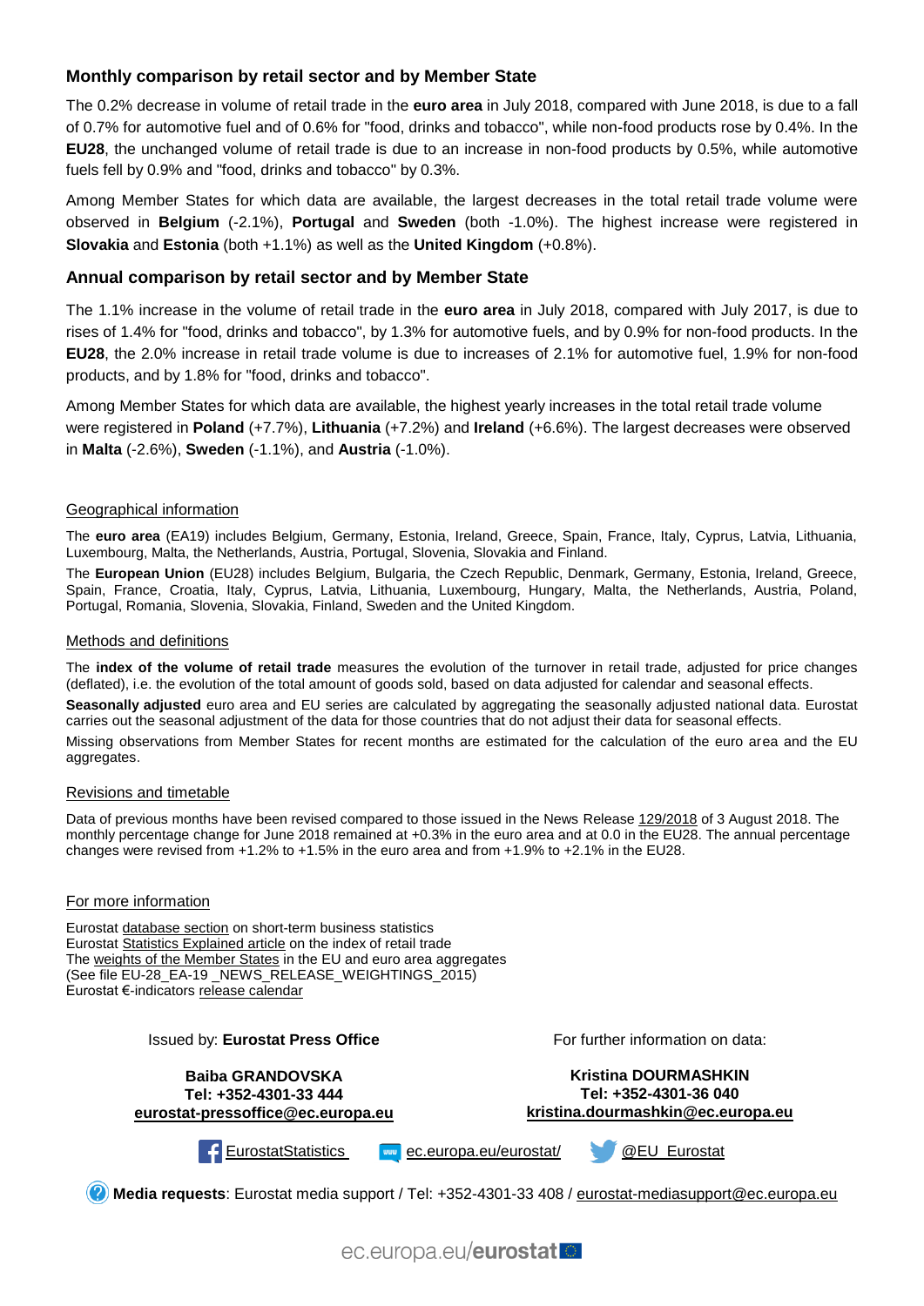### **Monthly comparison by retail sector and by Member State**

The 0.2% decrease in volume of retail trade in the **euro area** in July 2018, compared with June 2018, is due to a fall of 0.7% for automotive fuel and of 0.6% for "food, drinks and tobacco", while non-food products rose by 0.4%. In the **EU28**, the unchanged volume of retail trade is due to an increase in non-food products by 0.5%, while automotive fuels fell by 0.9% and "food, drinks and tobacco" by 0.3%.

Among Member States for which data are available, the largest decreases in the total retail trade volume were observed in **Belgium** (-2.1%), **Portugal** and **Sweden** (both -1.0%). The highest increase were registered in **Slovakia** and **Estonia** (both +1.1%) as well as the **United Kingdom** (+0.8%).

#### **Annual comparison by retail sector and by Member State**

The 1.1% increase in the volume of retail trade in the **euro area** in July 2018, compared with July 2017, is due to rises of 1.4% for "food, drinks and tobacco", by 1.3% for automotive fuels, and by 0.9% for non-food products. In the **EU28**, the 2.0% increase in retail trade volume is due to increases of 2.1% for automotive fuel, 1.9% for non-food products, and by 1.8% for "food, drinks and tobacco".

Among Member States for which data are available, the highest yearly increases in the total retail trade volume were registered in **Poland** (+7.7%), **Lithuania** (+7.2%) and **Ireland** (+6.6%). The largest decreases were observed in **Malta** (-2.6%), **Sweden** (-1.1%), and **Austria** (-1.0%).

#### Geographical information

The **euro area** (EA19) includes Belgium, Germany, Estonia, Ireland, Greece, Spain, France, Italy, Cyprus, Latvia, Lithuania, Luxembourg, Malta, the Netherlands, Austria, Portugal, Slovenia, Slovakia and Finland.

The **European Union** (EU28) includes Belgium, Bulgaria, the Czech Republic, Denmark, Germany, Estonia, Ireland, Greece, Spain, France, Croatia, Italy, Cyprus, Latvia, Lithuania, Luxembourg, Hungary, Malta, the Netherlands, Austria, Poland, Portugal, Romania, Slovenia, Slovakia, Finland, Sweden and the United Kingdom.

#### Methods and definitions

The **index of the volume of retail trade** measures the evolution of the turnover in retail trade, adjusted for price changes (deflated), i.e. the evolution of the total amount of goods sold, based on data adjusted for calendar and seasonal effects.

**Seasonally adjusted** euro area and EU series are calculated by aggregating the seasonally adjusted national data. Eurostat carries out the seasonal adjustment of the data for those countries that do not adjust their data for seasonal effects.

Missing observations from Member States for recent months are estimated for the calculation of the euro area and the EU aggregates.

#### Revisions and timetable

Data of previous months have been revised compared to those issued in the News Releas[e 129/2018](https://ec.europa.eu/eurostat/documents/2995521/9105340/4-03082018-AP-EN/4bea9201-cf62-477a-a827-060560d5ebea) of 3 August 2018. The monthly percentage change for June 2018 remained at +0.3% in the euro area and at 0.0 in the EU28. The annual percentage changes were revised from +1.2% to +1.5% in the euro area and from +1.9% to +2.1% in the EU28.

#### For more information

Eurostat [database section](http://ec.europa.eu/eurostat/web/short-term-business-statistics/data/database) on short-term business statistics Eurostat [Statistics Explained article](http://ec.europa.eu/eurostat/statistics-explained/index.php/Retail_trade_volume_index_overview) on the index of retail trade Th[e weights of the Member States](https://circabc.europa.eu/faces/jsp/extension/wai/navigation/container.jsp?FormPrincipal:_idcl=FormPrincipal:_id1&FormPrincipal_SUBMIT=1&id=d72689ec-103e-41a8-81d1-2e5ea5f171f5&javax.faces.ViewState=Y50wUIbl6rbSdK0%2F%2BRLo4HUrIhuyXFbXGB4hoffpE0a2uZFRW7u2k76HmA8XZsSjImil0xD53GDbY74G7XbycOTmBnKk85nxUijMdFsak%2FXa07bKHJs6gZV3Ifjo9z76EIgZl5mR%2FktzmHDjSOE%2B9h5Nq3w%3D) in the EU and euro area aggregates (See file EU-28\_EA-19 \_NEWS\_RELEASE\_WEIGHTINGS\_2015) Eurostat €-indicators [release calendar](http://ec.europa.eu/eurostat/news/release-calendar)

| Issued by: Eurostat Press Office |  |  |  |  |  |
|----------------------------------|--|--|--|--|--|
|----------------------------------|--|--|--|--|--|

**Baiba GRANDOVSKA Tel: +352-4301-33 444 [eurostat-pressoffice@ec.europa.eu](mailto:eurostat-pressoffice@ec.europa.eu)** For further information on data:

**Kristina DOURMASHKIN Tel: +352-4301-36 040 kristina.dourmashkin@ec.europa.eu**

[EurostatStatistics](http://www.facebook.com/EurostatStatistics) [ec.europa.eu/eurostat/](http://ec.europa.eu/eurostat/) [@EU\\_Eurostat](http://twitter.com/EU_Eurostat)

**Media requests**: Eurostat media support / Tel: +352-4301-33 408 / [eurostat-mediasupport@ec.europa.eu](mailto:eurostat-mediasupport@ec.europa.eu)

ec.europa.eu/eurostat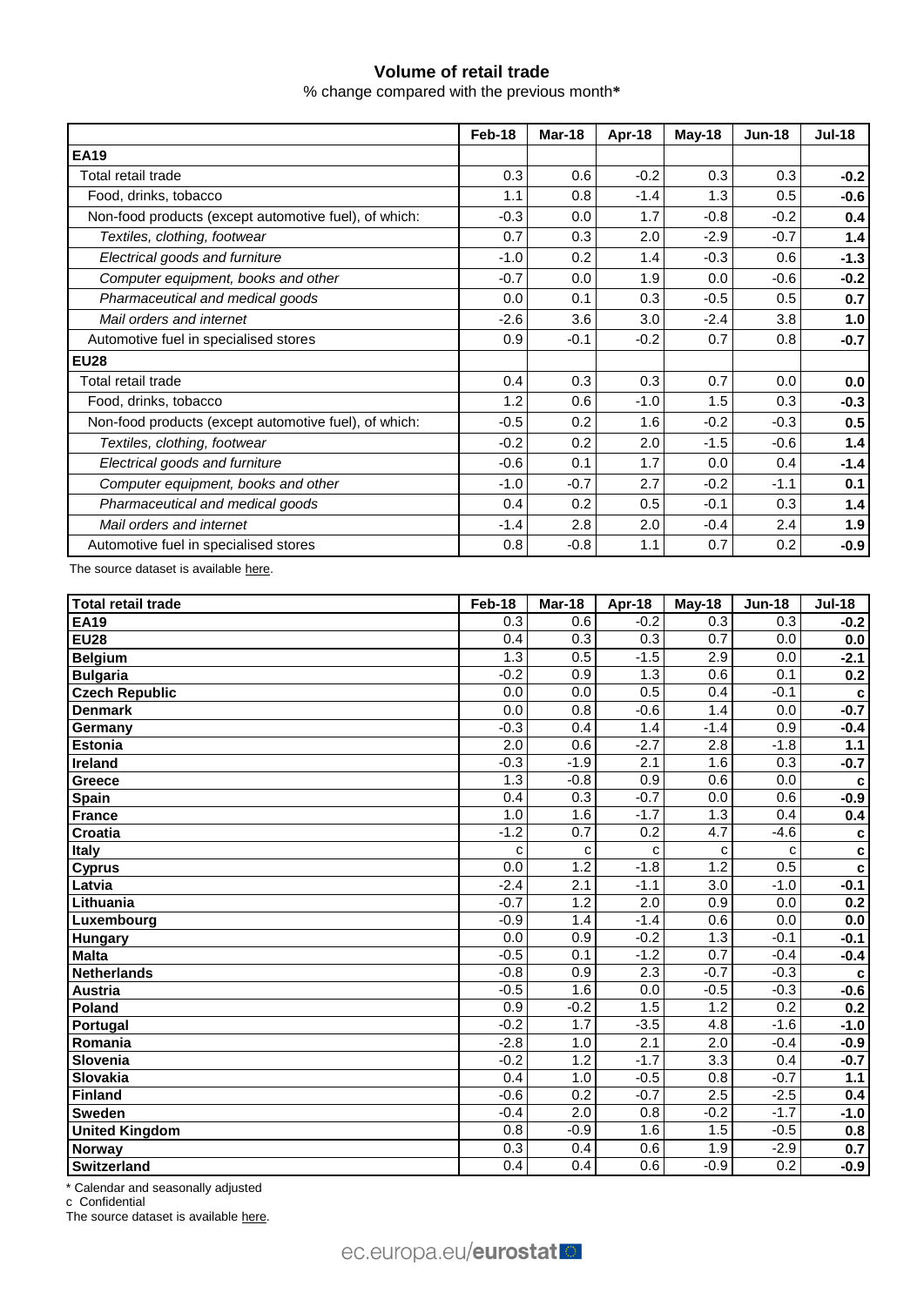## **Volume of retail trade**

% change compared with the previous month**\***

|                                                       | Feb-18 | Mar-18 | Apr-18 | May-18 | <b>Jun-18</b> | <b>Jul-18</b> |
|-------------------------------------------------------|--------|--------|--------|--------|---------------|---------------|
| <b>EA19</b>                                           |        |        |        |        |               |               |
| Total retail trade                                    | 0.3    | 0.6    | $-0.2$ | 0.3    | 0.3           | $-0.2$        |
| Food, drinks, tobacco                                 | 1.1    | 0.8    | $-1.4$ | 1.3    | 0.5           | $-0.6$        |
| Non-food products (except automotive fuel), of which: | $-0.3$ | 0.0    | 1.7    | $-0.8$ | $-0.2$        | 0.4           |
| Textiles, clothing, footwear                          | 0.7    | 0.3    | 2.0    | $-2.9$ | $-0.7$        | $1.4$         |
| Electrical goods and furniture                        | $-1.0$ | 0.2    | 1.4    | $-0.3$ | 0.6           | $-1.3$        |
| Computer equipment, books and other                   | $-0.7$ | 0.0    | 1.9    | 0.0    | $-0.6$        | $-0.2$        |
| Pharmaceutical and medical goods                      | 0.0    | 0.1    | 0.3    | $-0.5$ | 0.5           | 0.7           |
| Mail orders and internet                              | $-2.6$ | 3.6    | 3.0    | $-2.4$ | 3.8           | 1.0           |
| Automotive fuel in specialised stores                 | 0.9    | $-0.1$ | $-0.2$ | 0.7    | 0.8           | $-0.7$        |
| <b>EU28</b>                                           |        |        |        |        |               |               |
| Total retail trade                                    | 0.4    | 0.3    | 0.3    | 0.7    | 0.0           | 0.0           |
| Food, drinks, tobacco                                 | 1.2    | 0.6    | $-1.0$ | 1.5    | 0.3           | $-0.3$        |
| Non-food products (except automotive fuel), of which: | $-0.5$ | 0.2    | 1.6    | $-0.2$ | $-0.3$        | 0.5           |
| Textiles, clothing, footwear                          | $-0.2$ | 0.2    | 2.0    | $-1.5$ | $-0.6$        | 1.4           |
| Electrical goods and furniture                        | $-0.6$ | 0.1    | 1.7    | 0.0    | 0.4           | $-1.4$        |
| Computer equipment, books and other                   | $-1.0$ | $-0.7$ | 2.7    | $-0.2$ | $-1.1$        | 0.1           |
| Pharmaceutical and medical goods                      | 0.4    | 0.2    | 0.5    | $-0.1$ | 0.3           | $1.4$         |
| Mail orders and internet                              | $-1.4$ | 2.8    | 2.0    | $-0.4$ | 2.4           | 1.9           |
| Automotive fuel in specialised stores                 | 0.8    | $-0.8$ | 1.1    | 0.7    | 0.2           | $-0.9$        |

The source dataset is available [here.](http://appsso.eurostat.ec.europa.eu/nui/show.do?query=BOOKMARK_DS-075757_QID_-4D7F6645_UID_-3F171EB0&layout=TIME,C,X,0;GEO,L,Y,0;NACE_R2,L,Y,1;INDIC_BT,L,Z,0;S_ADJ,L,Z,1;UNIT,L,Z,2;INDICATORS,C,Z,3;&zSelection=DS-075757INDIC_BT,TOVV;DS-075757UNIT,PCH_PRE;DS-075757INDICATORS,OBS_FLAG;DS-075757S_ADJ,SCA;&rankName1=UNIT_1_2_-1_2&rankName2=INDIC-BT_1_2_-1_2&rankName3=INDICATORS_1_2_-1_2&rankName4=S-ADJ_1_2_-1_2&rankName5=TIME_1_0_0_0&rankName6=GEO_1_0_0_1&rankName7=NACE-R2_1_0_1_1&sortR=ASC_-1_FIRST&sortC=ASC_-1_FIRST&rStp=&cStp=&rDCh=&cDCh=&rDM=true&cDM=true&footnes=false&empty=false&wai=false&time_mode=ROLLING&time_most_recent=true&lang=EN&cfo=%23%23%23%2C%23%23%23.%23%23%23)

| <b>Total retail trade</b> | Feb-18           | Mar-18           | Apr-18           | $May-18$         | $Jun-18$         | <b>Jul-18</b> |
|---------------------------|------------------|------------------|------------------|------------------|------------------|---------------|
| <b>EA19</b>               | 0.3              | 0.6              | $-0.2$           | 0.3              | $\overline{0.3}$ | $-0.2$        |
| <b>EU28</b>               | 0.4              | 0.3              | 0.3              | 0.7              | 0.0              | 0.0           |
| <b>Belgium</b>            | 1.3              | 0.5              | $-1.5$           | 2.9              | 0.0              | $-2.1$        |
| <b>Bulgaria</b>           | $-0.2$           | 0.9              | 1.3              | 0.6              | 0.1              | 0.2           |
| <b>Czech Republic</b>     | 0.0              | 0.0              | 0.5              | 0.4              | $-0.1$           | c             |
| <b>Denmark</b>            | 0.0              | 0.8              | $-0.6$           | 1.4              | 0.0              | $-0.7$        |
| Germany                   | $-0.3$           | 0.4              | 1.4              | $-1.4$           | 0.9              | $-0.4$        |
| Estonia                   | $\overline{2.0}$ | 0.6              | $-2.7$           | $\overline{2.8}$ | $-1.8$           | 1.1           |
| Ireland                   | $-0.3$           | $-1.9$           | 2.1              | 1.6              | 0.3              | $-0.7$        |
| Greece                    | 1.3              | $-0.8$           | 0.9              | 0.6              | 0.0              | c             |
| Spain                     | 0.4              | 0.3              | $-0.7$           | 0.0              | 0.6              | $-0.9$        |
| <b>France</b>             | 1.0              | 1.6              | $-1.7$           | 1.3              | 0.4              | 0.4           |
| Croatia                   | $-1.2$           | $\overline{0.7}$ | 0.2              | 4.7              | $-4.6$           | C             |
| <b>Italy</b>              | C                | C                | $\mathbf{C}$     | $\mathbf{C}$     | C                | $\mathbf c$   |
| <b>Cyprus</b>             | 0.0              | 1.2              | $-1.8$           | 1.2              | 0.5              | $\mathbf c$   |
| Latvia                    | $-2.4$           | 2.1              | $-1.1$           | 3.0              | $-1.0$           | $-0.1$        |
| Lithuania                 | $-0.7$           | 1.2              | 2.0              | 0.9              | 0.0              | 0.2           |
| Luxembourg                | $-0.9$           | 1.4              | $-1.4$           | 0.6              | 0.0              | $0.0\,$       |
| <b>Hungary</b>            | $\overline{0.0}$ | $\overline{0.9}$ | $-0.2$           | $\overline{1.3}$ | $-0.1$           | $-0.1$        |
| <b>Malta</b>              | $-0.5$           | 0.1              | $-1.2$           | $\overline{0.7}$ | $-0.4$           | $-0.4$        |
| <b>Netherlands</b>        | $-0.8$           | $\overline{0.9}$ | 2.3              | $-0.7$           | $-0.3$           | c             |
| <b>Austria</b>            | $-0.5$           | 1.6              | 0.0              | $-0.5$           | $-0.3$           | $-0.6$        |
| Poland                    | 0.9              | $-0.2$           | 1.5              | 1.2              | 0.2              | 0.2           |
| Portugal                  | $-0.2$           | 1.7              | $-3.5$           | 4.8              | $-1.6$           | $-1.0$        |
| Romania                   | $-2.8$           | 1.0              | 2.1              | $\overline{2.0}$ | $-0.4$           | $-0.9$        |
| Slovenia                  | $-0.2$           | 1.2              | $-1.7$           | $\overline{3.3}$ | 0.4              | $-0.7$        |
| Slovakia                  | 0.4              | 1.0              | $-0.5$           | 0.8              | $-0.7$           | $1.1$         |
| <b>Finland</b>            | $-0.6$           | $\overline{0.2}$ | $-0.7$           | 2.5              | $-2.5$           | 0.4           |
| <b>Sweden</b>             | $-0.4$           | $\overline{2.0}$ | 0.8              | $-0.2$           | $-1.7$           | $-1.0$        |
| <b>United Kingdom</b>     | 0.8              | $-0.9$           | 1.6              | 1.5              | $-0.5$           | 0.8           |
| Norway                    | 0.3              | 0.4              | 0.6              | 1.9              | $-2.9$           | 0.7           |
| Switzerland               | 0.4              | $\overline{0.4}$ | $\overline{0.6}$ | $-0.9$           | $\overline{0.2}$ | $-0.9$        |

\* Calendar and seasonally adjusted

c Confidential

The source dataset is availabl[e here.](http://appsso.eurostat.ec.europa.eu/nui/show.do?query=BOOKMARK_DS-075757_QID_-3DAD769F_UID_-3F171EB0&layout=TIME,C,X,0;GEO,L,Y,0;INDIC_BT,L,Z,0;NACE_R2,L,Z,1;S_ADJ,L,Z,2;UNIT,L,Z,3;INDICATORS,C,Z,4;&zSelection=DS-075757INDIC_BT,TOVV;DS-075757NACE_R2,G47;DS-075757UNIT,PCH_PRE;DS-075757INDICATORS,OBS_FLAG;DS-075757S_ADJ,SCA;&rankName1=UNIT_1_2_-1_2&rankName2=INDIC-BT_1_2_-1_2&rankName3=INDICATORS_1_2_-1_2&rankName4=S-ADJ_1_2_-1_2&rankName5=NACE-R2_1_2_-1_2&rankName6=TIME_1_0_0_0&rankName7=GEO_1_2_0_1&sortC=ASC_-1_FIRST&rStp=&cStp=&rDCh=&cDCh=&rDM=true&cDM=true&footnes=false&empty=false&wai=false&time_mode=ROLLING&time_most_recent=true&lang=EN&cfo=%23%23%23%2C%23%23%23.%23%23%23)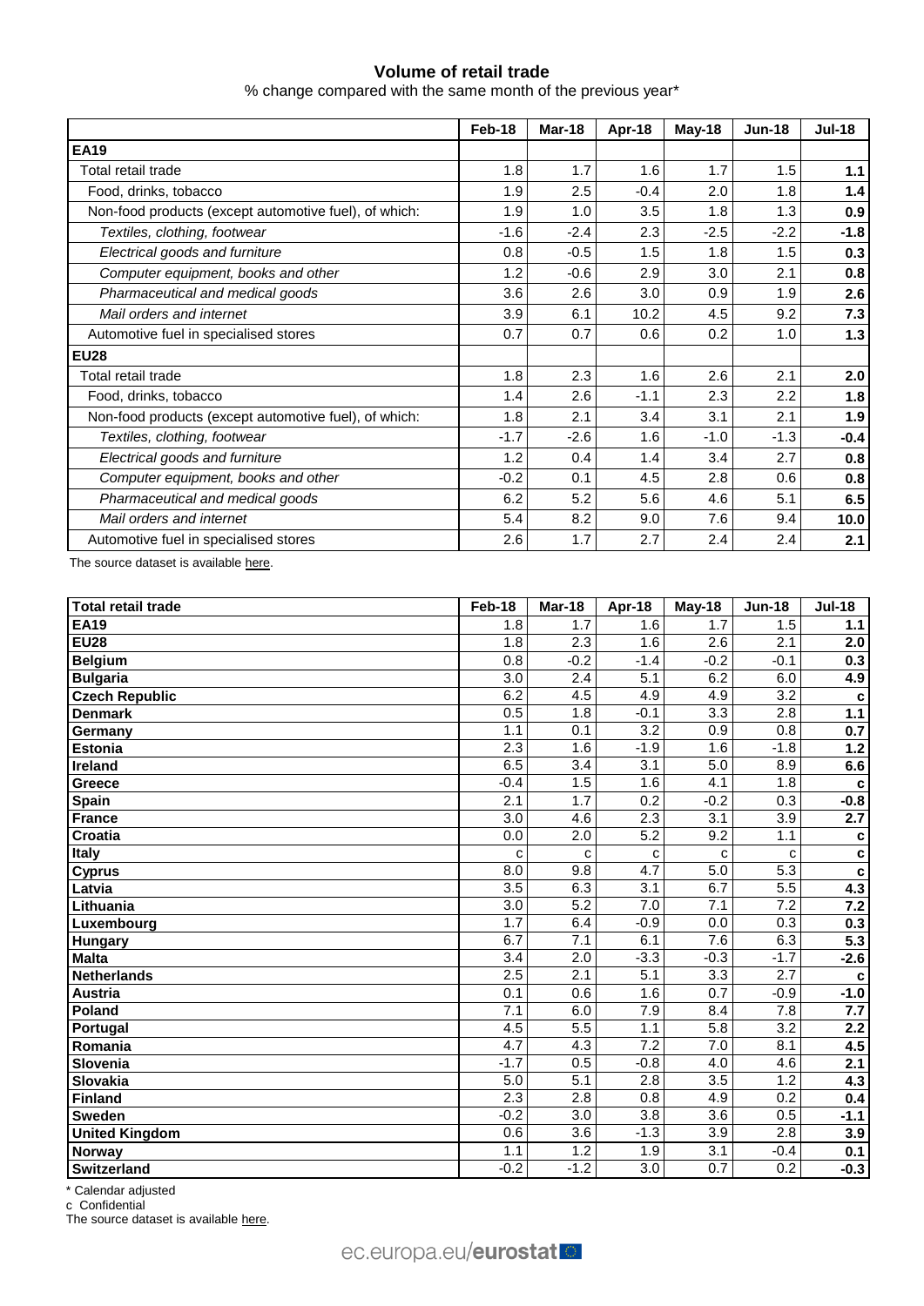### **Volume of retail trade**

% change compared with the same month of the previous year\*

|                                                       | Feb-18 | Mar-18 | Apr-18 | <b>May-18</b> | <b>Jun-18</b> | <b>Jul-18</b> |
|-------------------------------------------------------|--------|--------|--------|---------------|---------------|---------------|
| <b>EA19</b>                                           |        |        |        |               |               |               |
| Total retail trade                                    | 1.8    | 1.7    | 1.6    | 1.7           | 1.5           | 1.1           |
| Food, drinks, tobacco                                 | 1.9    | 2.5    | $-0.4$ | 2.0           | 1.8           | 1.4           |
| Non-food products (except automotive fuel), of which: | 1.9    | 1.0    | 3.5    | 1.8           | 1.3           | 0.9           |
| Textiles, clothing, footwear                          | $-1.6$ | $-2.4$ | 2.3    | $-2.5$        | $-2.2$        | $-1.8$        |
| Electrical goods and furniture                        | 0.8    | $-0.5$ | 1.5    | 1.8           | 1.5           | 0.3           |
| Computer equipment, books and other                   | 1.2    | $-0.6$ | 2.9    | 3.0           | 2.1           | 0.8           |
| Pharmaceutical and medical goods                      | 3.6    | 2.6    | 3.0    | 0.9           | 1.9           | 2.6           |
| Mail orders and internet                              | 3.9    | 6.1    | 10.2   | 4.5           | 9.2           | 7.3           |
| Automotive fuel in specialised stores                 | 0.7    | 0.7    | 0.6    | 0.2           | 1.0           | 1.3           |
| <b>EU28</b>                                           |        |        |        |               |               |               |
| Total retail trade                                    | 1.8    | 2.3    | 1.6    | 2.6           | 2.1           | 2.0           |
| Food, drinks, tobacco                                 | 1.4    | 2.6    | $-1.1$ | 2.3           | 2.2           | 1.8           |
| Non-food products (except automotive fuel), of which: | 1.8    | 2.1    | 3.4    | 3.1           | 2.1           | 1.9           |
| Textiles, clothing, footwear                          | $-1.7$ | $-2.6$ | 1.6    | $-1.0$        | $-1.3$        | $-0.4$        |
| Electrical goods and furniture                        | 1.2    | 0.4    | 1.4    | 3.4           | 2.7           | 0.8           |
| Computer equipment, books and other                   | $-0.2$ | 0.1    | 4.5    | 2.8           | 0.6           | 0.8           |
| Pharmaceutical and medical goods                      | 6.2    | 5.2    | 5.6    | 4.6           | 5.1           | 6.5           |
| Mail orders and internet                              | 5.4    | 8.2    | 9.0    | 7.6           | 9.4           | 10.0          |
| Automotive fuel in specialised stores                 | 2.6    | 1.7    | 2.7    | 2.4           | 2.4           | 2.1           |

The source dataset is available [here.](http://appsso.eurostat.ec.europa.eu/nui/show.do?query=BOOKMARK_DS-075757_QID_1411862_UID_-3F171EB0&layout=TIME,C,X,0;GEO,L,Y,0;NACE_R2,L,Y,1;INDIC_BT,L,Z,0;S_ADJ,L,Z,1;UNIT,L,Z,2;INDICATORS,C,Z,3;&zSelection=DS-075757INDIC_BT,TOVV;DS-075757UNIT,PCH_SM;DS-075757INDICATORS,OBS_FLAG;DS-075757S_ADJ,CA;&rankName1=UNIT_1_2_-1_2&rankName2=INDIC-BT_1_2_-1_2&rankName3=INDICATORS_1_2_-1_2&rankName4=S-ADJ_1_2_-1_2&rankName5=TIME_1_0_0_0&rankName6=GEO_1_0_0_1&rankName7=NACE-R2_1_0_1_1&sortR=ASC_-1_FIRST&sortC=ASC_-1_FIRST&rStp=&cStp=&rDCh=&cDCh=&rDM=true&cDM=true&footnes=false&empty=false&wai=false&time_mode=ROLLING&time_most_recent=true&lang=EN&cfo=%23%23%23%2C%23%23%23.%23%23%23)

| <b>Total retail trade</b> | Feb-18           | Mar-18           | Apr-18           | $May-18$         | $Jun-18$         | <b>Jul-18</b> |
|---------------------------|------------------|------------------|------------------|------------------|------------------|---------------|
| <b>EA19</b>               | 1.8              | 1.7              | 1.6              | 1.7              | 1.5              | 1.1           |
| <b>EU28</b>               | 1.8              | 2.3              | 1.6              | 2.6              | 2.1              | 2.0           |
| <b>Belgium</b>            | 0.8              | $-0.2$           | $-1.4$           | $-0.2$           | $-0.1$           | 0.3           |
| <b>Bulgaria</b>           | 3.0              | 2.4              | 5.1              | 6.2              | 6.0              | 4.9           |
| <b>Czech Republic</b>     | 6.2              | 4.5              | 4.9              | 4.9              | $\overline{3.2}$ | c             |
| <b>Denmark</b>            | 0.5              | 1.8              | $-0.1$           | 3.3              | 2.8              | 1.1           |
| Germany                   | 1.1              | 0.1              | $\overline{3.2}$ | 0.9              | $0.\overline{8}$ | 0.7           |
| <b>Estonia</b>            | $\overline{2.3}$ | 1.6              | $-1.9$           | 1.6              | $-1.8$           | 1.2           |
| Ireland                   | 6.5              | 3.4              | 3.1              | 5.0              | 8.9              | 6.6           |
| Greece                    | $-0.4$           | 1.5              | 1.6              | 4.1              | 1.8              | $\mathbf{c}$  |
| Spain                     | 2.1              | 1.7              | $\overline{0.2}$ | $-0.2$           | $\overline{0.3}$ | $-0.8$        |
| France                    | 3.0              | 4.6              | 2.3              | 3.1              | 3.9              | 2.7           |
| <b>Croatia</b>            | 0.0              | $\overline{2.0}$ | 5.2              | 9.2              | 1.1              | $\mathbf c$   |
| <b>Italy</b>              | C                | $\mathbf{C}$     | C                | $\mathbf{C}$     | $\mathbf C$      | $\mathbf c$   |
| <b>Cyprus</b>             | 8.0              | 9.8              | 4.7              | 5.0              | 5.3              | $\mathbf c$   |
| Latvia                    | 3.5              | 6.3              | 3.1              | 6.7              | 5.5              | 4.3           |
| Lithuania                 | $\overline{3.0}$ | 5.2              | 7.0              | $\overline{7.1}$ | 7.2              | 7.2           |
| Luxembourg                | 1.7              | 6.4              | $-0.9$           | 0.0              | 0.3              | 0.3           |
| <b>Hungary</b>            | 6.7              | 7.1              | 6.1              | 7.6              | 6.3              | 5.3           |
| <b>Malta</b>              | 3.4              | 2.0              | $-3.3$           | $-0.3$           | $-1.7$           | $-2.6$        |
| <b>Netherlands</b>        | 2.5              | 2.1              | 5.1              | 3.3              | $\overline{2.7}$ | $\mathbf c$   |
| <b>Austria</b>            | 0.1              | 0.6              | 1.6              | 0.7              | $-0.9$           | $-1.0$        |
| Poland                    | $\overline{7.1}$ | 6.0              | 7.9              | 8.4              | 7.8              | 7.7           |
| Portugal                  | 4.5              | 5.5              | 1.1              | 5.8              | $\overline{3.2}$ | 2.2           |
| Romania                   | 4.7              | 4.3              | 7.2              | 7.0              | 8.1              | 4.5           |
| Slovenia                  | $-1.7$           | 0.5              | $-0.8$           | 4.0              | 4.6              | 2.1           |
| Slovakia                  | 5.0              | $\overline{5.1}$ | 2.8              | 3.5              | $\overline{1.2}$ | 4.3           |
| Finland                   | $\overline{2.3}$ | $\overline{2.8}$ | $\overline{0.8}$ | 4.9              | $\overline{0.2}$ | 0.4           |
| <b>Sweden</b>             | $-0.2$           | $\overline{3.0}$ | $\overline{3.8}$ | 3.6              | 0.5              | $-1.1$        |
| <b>United Kingdom</b>     | 0.6              | $\overline{3.6}$ | $-1.3$           | 3.9              | $\overline{2.8}$ | 3.9           |
| <b>Norway</b>             | 1.1              | 1.2              | 1.9              | 3.1              | $-0.4$           | 0.1           |
| <b>Switzerland</b>        | $-0.2$           | $-1.2$           | 3.0              | 0.7              | 0.2              | $-0.3$        |

\* Calendar adjusted

c Confidential

The source dataset is availabl[e here.](http://appsso.eurostat.ec.europa.eu/nui/show.do?query=BOOKMARK_DS-075757_QID_4868268A_UID_-3F171EB0&layout=TIME,C,X,0;GEO,L,Y,0;INDIC_BT,L,Z,0;NACE_R2,L,Z,1;S_ADJ,L,Z,2;UNIT,L,Z,3;INDICATORS,C,Z,4;&zSelection=DS-075757INDIC_BT,TOVV;DS-075757NACE_R2,G47;DS-075757UNIT,PCH_SM;DS-075757INDICATORS,OBS_FLAG;DS-075757S_ADJ,CA;&rankName1=UNIT_1_2_-1_2&rankName2=INDIC-BT_1_2_-1_2&rankName3=INDICATORS_1_2_-1_2&rankName4=S-ADJ_1_2_-1_2&rankName5=NACE-R2_1_2_-1_2&rankName6=TIME_1_0_0_0&rankName7=GEO_1_2_0_1&sortC=ASC_-1_FIRST&rStp=&cStp=&rDCh=&cDCh=&rDM=true&cDM=true&footnes=false&empty=false&wai=false&time_mode=ROLLING&time_most_recent=true&lang=EN&cfo=%23%23%23%2C%23%23%23.%23%23%23)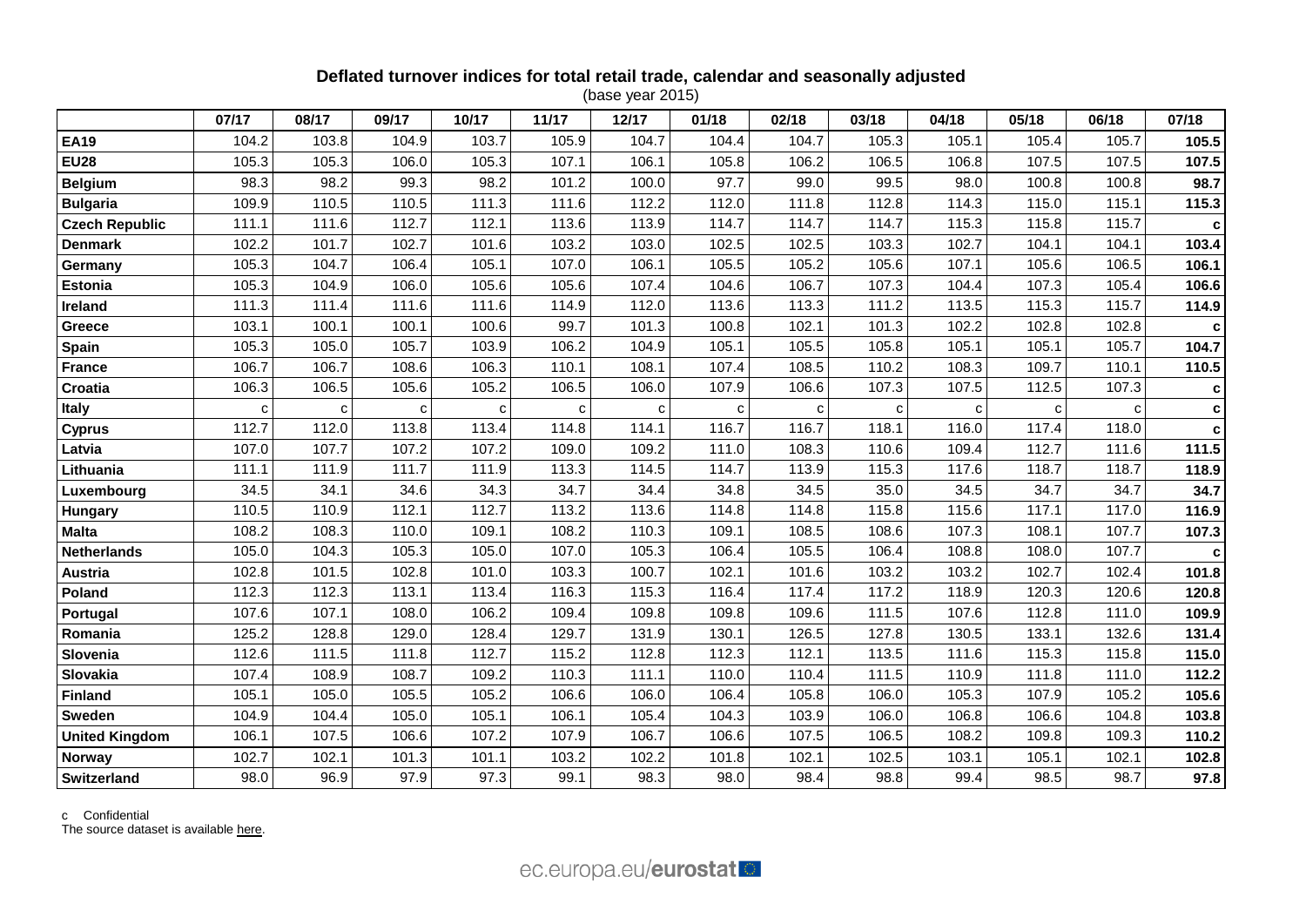# **Deflated turnover indices for total retail trade, calendar and seasonally adjusted**

(base year 2015)

|                       | 07/17 | 08/17 | 09/17 | 10/17 | 11/17       | 12/17 | 01/18 | 02/18 | 03/18 | 04/18 | 05/18 | 06/18 | 07/18 |
|-----------------------|-------|-------|-------|-------|-------------|-------|-------|-------|-------|-------|-------|-------|-------|
| <b>EA19</b>           | 104.2 | 103.8 | 104.9 | 103.7 | 105.9       | 104.7 | 104.4 | 104.7 | 105.3 | 105.1 | 105.4 | 105.7 | 105.5 |
| <b>EU28</b>           | 105.3 | 105.3 | 106.0 | 105.3 | 107.1       | 106.1 | 105.8 | 106.2 | 106.5 | 106.8 | 107.5 | 107.5 | 107.5 |
| <b>Belgium</b>        | 98.3  | 98.2  | 99.3  | 98.2  | 101.2       | 100.0 | 97.7  | 99.0  | 99.5  | 98.0  | 100.8 | 100.8 | 98.7  |
| <b>Bulgaria</b>       | 109.9 | 110.5 | 110.5 | 111.3 | 111.6       | 112.2 | 112.0 | 111.8 | 112.8 | 114.3 | 115.0 | 115.1 | 115.3 |
| <b>Czech Republic</b> | 111.1 | 111.6 | 112.7 | 112.1 | 113.6       | 113.9 | 114.7 | 114.7 | 114.7 | 115.3 | 115.8 | 115.7 | c     |
| <b>Denmark</b>        | 102.2 | 101.7 | 102.7 | 101.6 | 103.2       | 103.0 | 102.5 | 102.5 | 103.3 | 102.7 | 104.1 | 104.1 | 103.4 |
| Germany               | 105.3 | 104.7 | 106.4 | 105.1 | 107.0       | 106.1 | 105.5 | 105.2 | 105.6 | 107.1 | 105.6 | 106.5 | 106.1 |
| <b>Estonia</b>        | 105.3 | 104.9 | 106.0 | 105.6 | 105.6       | 107.4 | 104.6 | 106.7 | 107.3 | 104.4 | 107.3 | 105.4 | 106.6 |
| Ireland               | 111.3 | 111.4 | 111.6 | 111.6 | 114.9       | 112.0 | 113.6 | 113.3 | 111.2 | 113.5 | 115.3 | 115.7 | 114.9 |
| <b>Greece</b>         | 103.1 | 100.1 | 100.1 | 100.6 | 99.7        | 101.3 | 100.8 | 102.1 | 101.3 | 102.2 | 102.8 | 102.8 | c     |
| <b>Spain</b>          | 105.3 | 105.0 | 105.7 | 103.9 | 106.2       | 104.9 | 105.1 | 105.5 | 105.8 | 105.1 | 105.1 | 105.7 | 104.7 |
| <b>France</b>         | 106.7 | 106.7 | 108.6 | 106.3 | 110.1       | 108.1 | 107.4 | 108.5 | 110.2 | 108.3 | 109.7 | 110.1 | 110.5 |
| Croatia               | 106.3 | 106.5 | 105.6 | 105.2 | 106.5       | 106.0 | 107.9 | 106.6 | 107.3 | 107.5 | 112.5 | 107.3 | C     |
| <b>Italy</b>          | C     | c     | с     | с     | $\mathbf c$ | C     | c     |       | C     | c     | C     | C     | C     |
| <b>Cyprus</b>         | 112.7 | 112.0 | 113.8 | 113.4 | 114.8       | 114.1 | 116.7 | 116.7 | 118.1 | 116.0 | 117.4 | 118.0 | c     |
| Latvia                | 107.0 | 107.7 | 107.2 | 107.2 | 109.0       | 109.2 | 111.0 | 108.3 | 110.6 | 109.4 | 112.7 | 111.6 | 111.5 |
| Lithuania             | 111.1 | 111.9 | 111.7 | 111.9 | 113.3       | 114.5 | 114.7 | 113.9 | 115.3 | 117.6 | 118.7 | 118.7 | 118.9 |
| Luxembourg            | 34.5  | 34.1  | 34.6  | 34.3  | 34.7        | 34.4  | 34.8  | 34.5  | 35.0  | 34.5  | 34.7  | 34.7  | 34.7  |
| Hungary               | 110.5 | 110.9 | 112.1 | 112.7 | 113.2       | 113.6 | 114.8 | 114.8 | 115.8 | 115.6 | 117.1 | 117.0 | 116.9 |
| <b>Malta</b>          | 108.2 | 108.3 | 110.0 | 109.1 | 108.2       | 110.3 | 109.1 | 108.5 | 108.6 | 107.3 | 108.1 | 107.7 | 107.3 |
| <b>Netherlands</b>    | 105.0 | 104.3 | 105.3 | 105.0 | 107.0       | 105.3 | 106.4 | 105.5 | 106.4 | 108.8 | 108.0 | 107.7 | C     |
| <b>Austria</b>        | 102.8 | 101.5 | 102.8 | 101.0 | 103.3       | 100.7 | 102.1 | 101.6 | 103.2 | 103.2 | 102.7 | 102.4 | 101.8 |
| Poland                | 112.3 | 112.3 | 113.1 | 113.4 | 116.3       | 115.3 | 116.4 | 117.4 | 117.2 | 118.9 | 120.3 | 120.6 | 120.8 |
| Portugal              | 107.6 | 107.1 | 108.0 | 106.2 | 109.4       | 109.8 | 109.8 | 109.6 | 111.5 | 107.6 | 112.8 | 111.0 | 109.9 |
| Romania               | 125.2 | 128.8 | 129.0 | 128.4 | 129.7       | 131.9 | 130.1 | 126.5 | 127.8 | 130.5 | 133.1 | 132.6 | 131.4 |
| Slovenia              | 112.6 | 111.5 | 111.8 | 112.7 | 115.2       | 112.8 | 112.3 | 112.1 | 113.5 | 111.6 | 115.3 | 115.8 | 115.0 |
| Slovakia              | 107.4 | 108.9 | 108.7 | 109.2 | 110.3       | 111.1 | 110.0 | 110.4 | 111.5 | 110.9 | 111.8 | 111.0 | 112.2 |
| <b>Finland</b>        | 105.1 | 105.0 | 105.5 | 105.2 | 106.6       | 106.0 | 106.4 | 105.8 | 106.0 | 105.3 | 107.9 | 105.2 | 105.6 |
| <b>Sweden</b>         | 104.9 | 104.4 | 105.0 | 105.1 | 106.1       | 105.4 | 104.3 | 103.9 | 106.0 | 106.8 | 106.6 | 104.8 | 103.8 |
| <b>United Kingdom</b> | 106.1 | 107.5 | 106.6 | 107.2 | 107.9       | 106.7 | 106.6 | 107.5 | 106.5 | 108.2 | 109.8 | 109.3 | 110.2 |
| <b>Norway</b>         | 102.7 | 102.1 | 101.3 | 101.1 | 103.2       | 102.2 | 101.8 | 102.1 | 102.5 | 103.1 | 105.1 | 102.1 | 102.8 |
| <b>Switzerland</b>    | 98.0  | 96.9  | 97.9  | 97.3  | 99.1        | 98.3  | 98.0  | 98.4  | 98.8  | 99.4  | 98.5  | 98.7  | 97.8  |

c Confidential

The source dataset is available [here.](http://appsso.eurostat.ec.europa.eu/nui/show.do?query=BOOKMARK_DS-075757_QID_7EF248B9_UID_-3F171EB0&layout=TIME,C,X,0;GEO,L,Y,0;INDIC_BT,L,Z,0;NACE_R2,L,Z,1;S_ADJ,L,Z,2;UNIT,L,Z,3;INDICATORS,C,Z,4;&zSelection=DS-075757INDIC_BT,TOVV;DS-075757NACE_R2,G47;DS-075757UNIT,I10;DS-075757INDICATORS,OBS_FLAG;DS-075757S_ADJ,SCA;&rankName1=UNIT_1_2_-1_2&rankName2=INDIC-BT_1_2_-1_2&rankName3=INDICATORS_1_2_-1_2&rankName4=S-ADJ_1_2_-1_2&rankName5=NACE-R2_1_2_-1_2&rankName6=TIME_1_0_0_0&rankName7=GEO_1_2_0_1&sortC=ASC_-1_FIRST&rStp=&cStp=&rDCh=&cDCh=&rDM=true&cDM=true&footnes=false&empty=false&wai=false&time_mode=ROLLING&time_most_recent=true&lang=EN&cfo=%23%23%23%2C%23%23%23.%23%23%23)